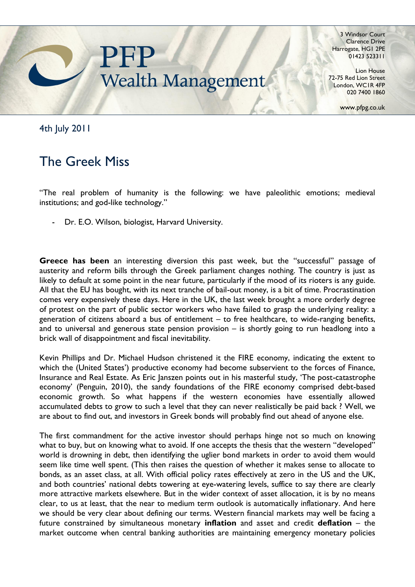

3 Windsor Court Clarence Drive Harrogate, HG1 2PE 01423 523311

Lion House 72-75 Red Lion Street London, WC1R 4FP 020 7400 1860

www.pfpg.co.uk

4th July 2011

## The Greek Miss

"The real problem of humanity is the following: we have paleolithic emotions; medieval institutions; and god-like technology."

Dr. E.O. Wilson, biologist, Harvard University.

**Greece has been** an interesting diversion this past week, but the "successful" passage of austerity and reform bills through the Greek parliament changes nothing. The country is just as likely to default at some point in the near future, particularly if the mood of its rioters is any guide. All that the EU has bought, with its next tranche of bail-out money, is a bit of time. Procrastination comes very expensively these days. Here in the UK, the last week brought a more orderly degree of protest on the part of public sector workers who have failed to grasp the underlying reality: a generation of citizens aboard a bus of entitlement – to free healthcare, to wide-ranging benefits, and to universal and generous state pension provision – is shortly going to run headlong into a brick wall of disappointment and fiscal inevitability.

Kevin Phillips and Dr. Michael Hudson christened it the FIRE economy, indicating the extent to which the (United States') productive economy had become subservient to the forces of Finance, Insurance and Real Estate. As Eric Janszen points out in his masterful study, "The post-catastrophe economy" (Penguin, 2010), the sandy foundations of the FIRE economy comprised debt-based economic growth. So what happens if the western economies have essentially allowed accumulated debts to grow to such a level that they can never realistically be paid back ? Well, we are about to find out, and investors in Greek bonds will probably find out ahead of anyone else.

The first commandment for the active investor should perhaps hinge not so much on knowing what to buy, but on knowing what to avoid. If one accepts the thesis that the western "developed" world is drowning in debt, then identifying the uglier bond markets in order to avoid them would seem like time well spent. (This then raises the question of whether it makes sense to allocate to bonds, as an asset class, at all. With official policy rates effectively at zero in the US and the UK, and both countries' national debts towering at eye-watering levels, suffice to say there are clearly more attractive markets elsewhere. But in the wider context of asset allocation, it is by no means clear, to us at least, that the near to medium term outlook is automatically inflationary. And here we should be very clear about defining our terms. Western financial markets may well be facing a future constrained by simultaneous monetary **inflation** and asset and credit **deflation** – the market outcome when central banking authorities are maintaining emergency monetary policies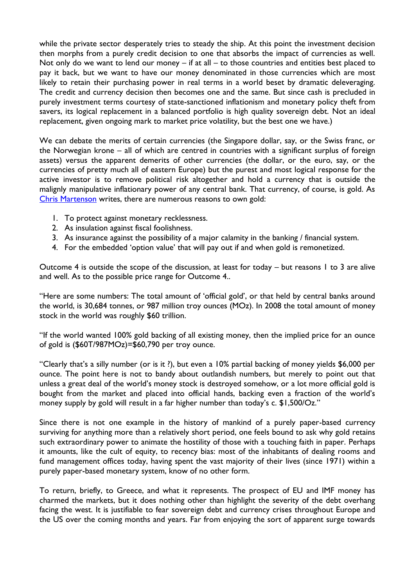while the private sector desperately tries to steady the ship. At this point the investment decision then morphs from a purely credit decision to one that absorbs the impact of currencies as well. Not only do we want to lend our money  $-$  if at all  $-$  to those countries and entities best placed to pay it back, but we want to have our money denominated in those currencies which are most likely to retain their purchasing power in real terms in a world beset by dramatic deleveraging. The credit and currency decision then becomes one and the same. But since cash is precluded in purely investment terms courtesy of state-sanctioned inflationism and monetary policy theft from savers, its logical replacement in a balanced portfolio is high quality sovereign debt. Not an ideal replacement, given ongoing mark to market price volatility, but the best one we have.)

We can debate the merits of certain currencies (the Singapore dollar, say, or the Swiss franc, or the Norwegian krone – all of which are centred in countries with a significant surplus of foreign assets) versus the apparent demerits of other currencies (the dollar, or the euro, say, or the currencies of pretty much all of eastern Europe) but the purest and most logical response for the active investor is to remove political risk altogether and hold a currency that is outside the malignly manipulative inflationary power of any central bank. That currency, of course, is gold. As [Chris Martenson](http://www.chrismartenson.com/) writes, there are numerous reasons to own gold:

- 1. To protect against monetary recklessness.
- 2. As insulation against fiscal foolishness.
- 3. As insurance against the possibility of a major calamity in the banking / financial system.
- 4. For the embedded "option value" that will pay out if and when gold is remonetized.

Outcome 4 is outside the scope of the discussion, at least for today  $-$  but reasons 1 to 3 are alive and well. As to the possible price range for Outcome 4..

"Here are some numbers: The total amount of "official gold", or that held by central banks around the world, is 30,684 tonnes, or 987 million troy ounces (MOz). In 2008 the total amount of money stock in the world was roughly \$60 trillion.

"If the world wanted 100% gold backing of all existing money, then the implied price for an ounce of gold is (\$60T/987MOz)=\$60,790 per troy ounce.

"Clearly that's a silly number (or is it ?), but even a 10% partial backing of money yields \$6,000 per ounce. The point here is not to bandy about outlandish numbers, but merely to point out that unless a great deal of the world"s money stock is destroyed somehow, or a lot more official gold is bought from the market and placed into official hands, backing even a fraction of the world"s money supply by gold will result in a far higher number than today's c. \$1,500/Oz."

Since there is not one example in the history of mankind of a purely paper-based currency surviving for anything more than a relatively short period, one feels bound to ask why gold retains such extraordinary power to animate the hostility of those with a touching faith in paper. Perhaps it amounts, like the cult of equity, to recency bias: most of the inhabitants of dealing rooms and fund management offices today, having spent the vast majority of their lives (since 1971) within a purely paper-based monetary system, know of no other form.

To return, briefly, to Greece, and what it represents. The prospect of EU and IMF money has charmed the markets, but it does nothing other than highlight the severity of the debt overhang facing the west. It is justifiable to fear sovereign debt and currency crises throughout Europe and the US over the coming months and years. Far from enjoying the sort of apparent surge towards